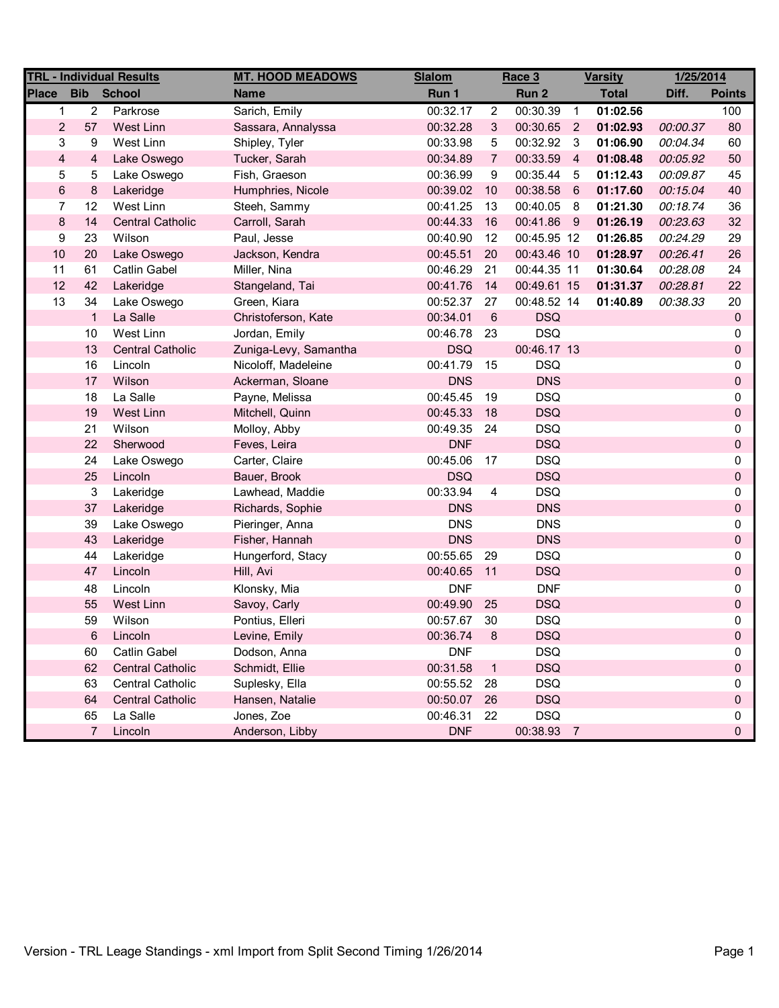|                         |                   | <b>TRL - Individual Results</b> | <b>MT. HOOD MEADOWS</b> | <b>Slalom</b> |                | Race 3      |                | <b>Varsity</b> | 1/25/2014 |               |
|-------------------------|-------------------|---------------------------------|-------------------------|---------------|----------------|-------------|----------------|----------------|-----------|---------------|
| <b>Place</b>            | <b>Bib</b> School |                                 | <b>Name</b>             | Run 1         |                | Run 2       |                | <b>Total</b>   | Diff.     | <b>Points</b> |
| $\mathbf{1}$            | $\overline{2}$    | Parkrose                        | Sarich, Emily           | 00:32.17      | $\overline{2}$ | 00:30.39    | $\overline{1}$ | 01:02.56       |           | 100           |
| $\overline{2}$          | 57                | <b>West Linn</b>                | Sassara, Annalyssa      | 00:32.28      | 3              | 00:30.65    | $\overline{2}$ | 01:02.93       | 00:00.37  | 80            |
| 3                       | 9                 | West Linn                       | Shipley, Tyler          | 00:33.98      | 5              | 00:32.92    | $\mathbf{3}$   | 01:06.90       | 00:04.34  | 60            |
| $\overline{\mathbf{4}}$ | 4                 | Lake Oswego                     | Tucker, Sarah           | 00:34.89      | $\overline{7}$ | 00:33.59    | $\overline{4}$ | 01:08.48       | 00:05.92  | 50            |
| 5                       | 5                 | Lake Oswego                     | Fish, Graeson           | 00:36.99      | 9              | 00:35.44    | - 5            | 01:12.43       | 00:09.87  | 45            |
| $\,6$                   | 8                 | Lakeridge                       | Humphries, Nicole       | 00:39.02      | 10             | 00:38.58    | $-6$           | 01:17.60       | 00:15.04  | 40            |
| $\overline{7}$          | 12                | West Linn                       | Steeh, Sammy            | 00:41.25      | 13             | 00:40.05    | 8              | 01:21.30       | 00:18.74  | 36            |
| 8                       | 14                | <b>Central Catholic</b>         | Carroll, Sarah          | 00:44.33      | 16             | 00:41.86 9  |                | 01:26.19       | 00:23.63  | 32            |
| 9                       | 23                | Wilson                          | Paul, Jesse             | 00:40.90      | 12             | 00:45.95 12 |                | 01:26.85       | 00:24.29  | 29            |
| 10                      | 20                | Lake Oswego                     | Jackson, Kendra         | 00:45.51      | 20             | 00:43.46 10 |                | 01:28.97       | 00:26.41  | 26            |
| 11                      | 61                | <b>Catlin Gabel</b>             | Miller, Nina            | 00:46.29      | 21             | 00:44.35 11 |                | 01:30.64       | 00:28.08  | 24            |
| 12                      | 42                | Lakeridge                       | Stangeland, Tai         | 00:41.76      | 14             | 00:49.61 15 |                | 01:31.37       | 00:28.81  | 22            |
| 13                      | 34                | Lake Oswego                     | Green, Kiara            | 00:52.37      | 27             | 00:48.52 14 |                | 01:40.89       | 00:38.33  | 20            |
|                         | $\mathbf{1}$      | La Salle                        | Christoferson, Kate     | 00:34.01      | $\,6\,$        | <b>DSQ</b>  |                |                |           | 0             |
|                         | 10                | West Linn                       | Jordan, Emily           | 00:46.78      | 23             | <b>DSQ</b>  |                |                |           | 0             |
|                         | 13                | <b>Central Catholic</b>         | Zuniga-Levy, Samantha   | <b>DSQ</b>    |                | 00:46.17 13 |                |                |           | 0             |
|                         | 16                | Lincoln                         | Nicoloff, Madeleine     | 00:41.79      | 15             | <b>DSQ</b>  |                |                |           | 0             |
|                         | 17                | Wilson                          | Ackerman, Sloane        | <b>DNS</b>    |                | <b>DNS</b>  |                |                |           | 0             |
|                         | 18                | La Salle                        | Payne, Melissa          | 00:45.45      | 19             | <b>DSQ</b>  |                |                |           | 0             |
|                         | 19                | West Linn                       | Mitchell, Quinn         | 00:45.33      | 18             | <b>DSQ</b>  |                |                |           | 0             |
|                         | 21                | Wilson                          | Molloy, Abby            | 00:49.35      | 24             | <b>DSQ</b>  |                |                |           | 0             |
|                         | 22                | Sherwood                        | Feves, Leira            | <b>DNF</b>    |                | <b>DSQ</b>  |                |                |           | 0             |
|                         | 24                | Lake Oswego                     | Carter, Claire          | 00:45.06      | 17             | <b>DSQ</b>  |                |                |           | 0             |
|                         | 25                | Lincoln                         | Bauer, Brook            | <b>DSQ</b>    |                | <b>DSQ</b>  |                |                |           | 0             |
|                         | 3                 | Lakeridge                       | Lawhead, Maddie         | 00:33.94      | 4              | <b>DSQ</b>  |                |                |           | 0             |
|                         | 37                | Lakeridge                       | Richards, Sophie        | <b>DNS</b>    |                | <b>DNS</b>  |                |                |           | 0             |
|                         | 39                | Lake Oswego                     | Pieringer, Anna         | <b>DNS</b>    |                | <b>DNS</b>  |                |                |           | 0             |
|                         | 43                | Lakeridge                       | Fisher, Hannah          | <b>DNS</b>    |                | <b>DNS</b>  |                |                |           | 0             |
|                         | 44                | Lakeridge                       | Hungerford, Stacy       | 00:55.65      | 29             | <b>DSQ</b>  |                |                |           | 0             |
|                         | 47                | Lincoln                         | Hill, Avi               | 00:40.65      | 11             | <b>DSQ</b>  |                |                |           | 0             |
|                         | 48                | Lincoln                         | Klonsky, Mia            | <b>DNF</b>    |                | <b>DNF</b>  |                |                |           | 0             |
|                         | 55                | West Linn                       | Savoy, Carly            | 00:49.90      | 25             | <b>DSQ</b>  |                |                |           | 0             |
|                         | 59                | Wilson                          | Pontius, Elleri         | 00:57.67      | 30             | <b>DSQ</b>  |                |                |           | 0             |
|                         | 6                 | Lincoln                         | Levine, Emily           | 00:36.74      | 8              | <b>DSQ</b>  |                |                |           | $\Omega$      |
|                         | 60                | <b>Catlin Gabel</b>             | Dodson, Anna            | <b>DNF</b>    |                | <b>DSQ</b>  |                |                |           | 0             |
|                         | 62                | <b>Central Catholic</b>         | Schmidt, Ellie          | 00:31.58      | 1              | <b>DSQ</b>  |                |                |           | 0             |
|                         | 63                | <b>Central Catholic</b>         | Suplesky, Ella          | 00:55.52      | 28             | <b>DSQ</b>  |                |                |           | 0             |
|                         | 64                | <b>Central Catholic</b>         | Hansen, Natalie         | 00:50.07      | 26             | <b>DSQ</b>  |                |                |           | 0             |
|                         | 65                | La Salle                        | Jones, Zoe              | 00:46.31      | 22             | <b>DSQ</b>  |                |                |           | 0             |
|                         | $\overline{7}$    | Lincoln                         | Anderson, Libby         | <b>DNF</b>    |                | 00:38.93 7  |                |                |           | 0             |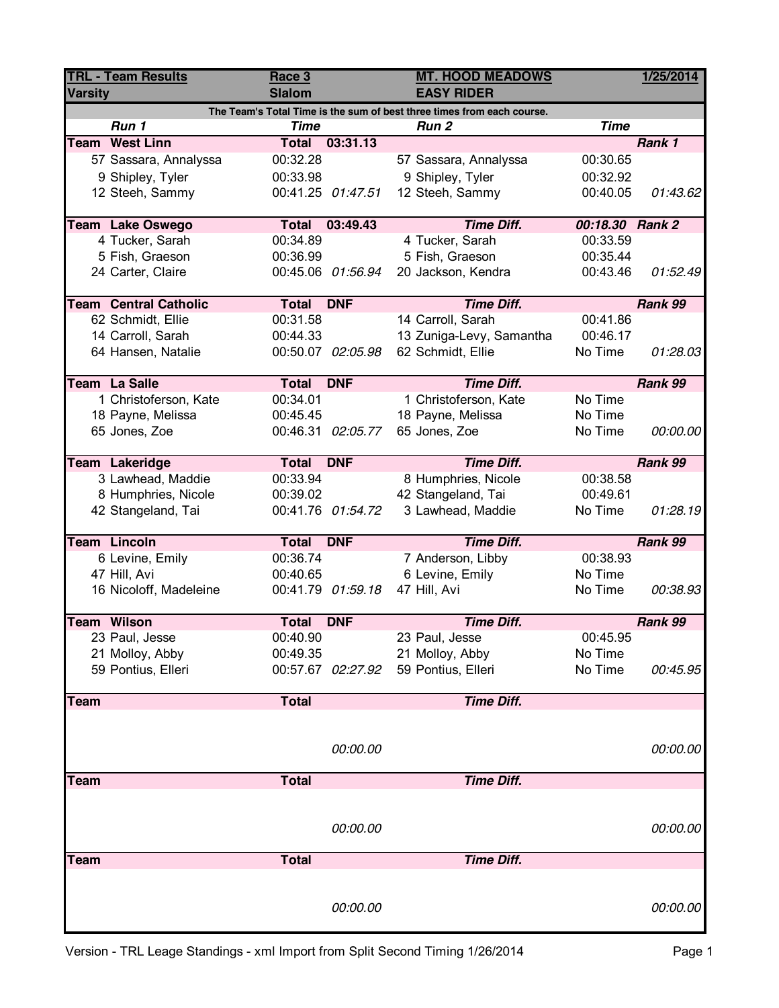| <b>TRL - Team Results</b><br><b>Varsity</b>                            |                              | Race 3<br><b>Slalom</b> |                   | <b>MT. HOOD MEADOWS</b><br><b>EASY RIDER</b> |                 | 1/25/2014 |  |  |  |
|------------------------------------------------------------------------|------------------------------|-------------------------|-------------------|----------------------------------------------|-----------------|-----------|--|--|--|
| The Team's Total Time is the sum of best three times from each course. |                              |                         |                   |                                              |                 |           |  |  |  |
|                                                                        | Run 1                        | <b>Time</b>             |                   | Run <sub>2</sub>                             | <b>Time</b>     |           |  |  |  |
|                                                                        | <b>Team West Linn</b>        | <b>Total</b>            | 03:31.13          |                                              |                 | Rank 1    |  |  |  |
|                                                                        | 57 Sassara, Annalyssa        | 00:32.28                |                   | 57 Sassara, Annalyssa                        | 00:30.65        |           |  |  |  |
|                                                                        | 9 Shipley, Tyler             | 00:33.98                |                   | 9 Shipley, Tyler                             | 00:32.92        |           |  |  |  |
|                                                                        | 12 Steeh, Sammy              |                         | 00:41.25 01:47.51 | 12 Steeh, Sammy                              | 00:40.05        | 01:43.62  |  |  |  |
|                                                                        | <b>Team Lake Oswego</b>      | Total                   | 03:49.43          | <b>Time Diff.</b>                            | 00:18.30 Rank 2 |           |  |  |  |
|                                                                        | 4 Tucker, Sarah              | 00:34.89                |                   | 4 Tucker, Sarah                              | 00:33.59        |           |  |  |  |
|                                                                        | 5 Fish, Graeson              | 00:36.99                |                   | 5 Fish, Graeson                              | 00:35.44        |           |  |  |  |
|                                                                        | 24 Carter, Claire            |                         | 00:45.06 01:56.94 | 20 Jackson, Kendra                           | 00:43.46        | 01:52.49  |  |  |  |
|                                                                        | <b>Team Central Catholic</b> | <b>Total</b>            | <b>DNF</b>        | <b>Time Diff.</b>                            |                 | Rank 99   |  |  |  |
|                                                                        | 62 Schmidt, Ellie            | 00:31.58                |                   | 14 Carroll, Sarah                            | 00:41.86        |           |  |  |  |
|                                                                        | 14 Carroll, Sarah            | 00:44.33                |                   | 13 Zuniga-Levy, Samantha                     | 00:46.17        |           |  |  |  |
|                                                                        | 64 Hansen, Natalie           |                         | 00:50.07 02:05.98 | 62 Schmidt, Ellie                            | No Time         | 01:28.03  |  |  |  |
|                                                                        | Team La Salle                | <b>Total</b>            | <b>DNF</b>        | <b>Time Diff.</b>                            |                 | Rank 99   |  |  |  |
|                                                                        | 1 Christoferson, Kate        | 00:34.01                |                   | 1 Christoferson, Kate                        | No Time         |           |  |  |  |
|                                                                        | 18 Payne, Melissa            | 00:45.45                |                   | 18 Payne, Melissa                            | No Time         |           |  |  |  |
|                                                                        | 65 Jones, Zoe                |                         | 00:46.31 02:05.77 | 65 Jones, Zoe                                | No Time         | 00:00.00  |  |  |  |
|                                                                        |                              |                         |                   |                                              |                 |           |  |  |  |
|                                                                        | Team Lakeridge               | Total                   | <b>DNF</b>        | <b>Time Diff.</b>                            |                 | Rank 99   |  |  |  |
|                                                                        | 3 Lawhead, Maddie            | 00:33.94                |                   | 8 Humphries, Nicole                          | 00:38.58        |           |  |  |  |
|                                                                        | 8 Humphries, Nicole          | 00:39.02                |                   | 42 Stangeland, Tai                           | 00:49.61        |           |  |  |  |
|                                                                        | 42 Stangeland, Tai           |                         | 00:41.76 01:54.72 | 3 Lawhead, Maddie                            | No Time         | 01:28.19  |  |  |  |
|                                                                        | <b>Team Lincoln</b>          | Total                   | <b>DNF</b>        | <b>Time Diff.</b>                            |                 | Rank 99   |  |  |  |
|                                                                        | 6 Levine, Emily              | 00:36.74                |                   | 7 Anderson, Libby                            | 00:38.93        |           |  |  |  |
|                                                                        | 47 Hill, Avi                 | 00:40.65                |                   | 6 Levine, Emily                              | No Time         |           |  |  |  |
|                                                                        | 16 Nicoloff, Madeleine       |                         | 00:41.79 01:59.18 | 47 Hill, Avi                                 | No Time         | 00:38.93  |  |  |  |
|                                                                        |                              |                         |                   |                                              |                 |           |  |  |  |
|                                                                        | <b>Team Wilson</b>           | <b>Total DNF</b>        |                   | <b>Time Diff.</b>                            |                 | Rank 99   |  |  |  |
|                                                                        | 23 Paul, Jesse               | 00:40.90                |                   | 23 Paul, Jesse                               | 00:45.95        |           |  |  |  |
|                                                                        | 21 Molloy, Abby              | 00:49.35                |                   | 21 Molloy, Abby                              | No Time         |           |  |  |  |
|                                                                        | 59 Pontius, Elleri           |                         | 00:57.67 02:27.92 | 59 Pontius, Elleri                           | No Time         | 00:45.95  |  |  |  |
| Team                                                                   |                              | <b>Total</b>            |                   | <b>Time Diff.</b>                            |                 |           |  |  |  |
|                                                                        |                              |                         |                   |                                              |                 |           |  |  |  |
|                                                                        |                              |                         | 00:00.00          |                                              |                 | 00:00.00  |  |  |  |
|                                                                        |                              |                         |                   |                                              |                 |           |  |  |  |
| Team                                                                   |                              | <b>Total</b>            |                   | <b>Time Diff.</b>                            |                 |           |  |  |  |
|                                                                        |                              |                         |                   |                                              |                 |           |  |  |  |
|                                                                        |                              |                         | 00:00.00          |                                              |                 | 00:00.00  |  |  |  |
|                                                                        |                              |                         |                   |                                              |                 |           |  |  |  |
| <b>Team</b>                                                            |                              | <b>Total</b>            |                   | <b>Time Diff.</b>                            |                 |           |  |  |  |
|                                                                        |                              |                         |                   |                                              |                 |           |  |  |  |
|                                                                        |                              |                         |                   |                                              |                 |           |  |  |  |
|                                                                        |                              |                         | 00:00.00          |                                              |                 | 00:00.00  |  |  |  |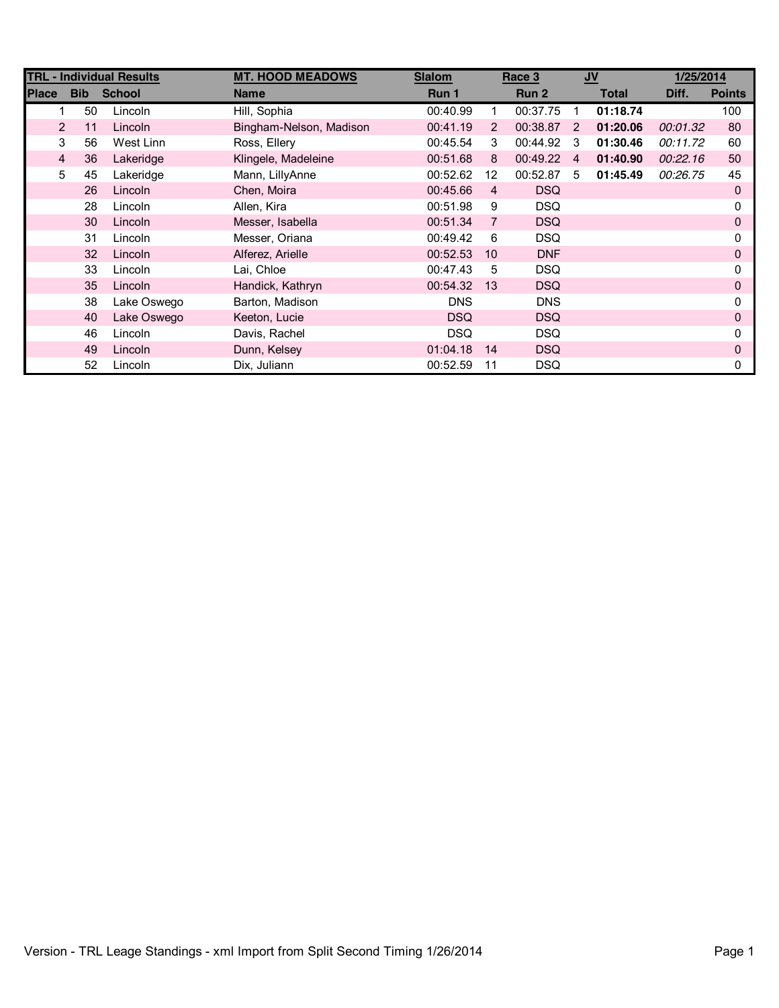|              |                      | <b>TRL - Individual Results</b> | <b>MT. HOOD MEADOWS</b> | <b>Slalom</b> |                | Race 3     |                | $JV$         | 1/25/2014 |               |
|--------------|----------------------|---------------------------------|-------------------------|---------------|----------------|------------|----------------|--------------|-----------|---------------|
| <b>Place</b> | <b>Bib</b>           | <b>School</b>                   | <b>Name</b>             | Run 1         |                | Run 2      |                | <b>Total</b> | Diff.     | <b>Points</b> |
|              | 50                   | Lincoln                         | Hill, Sophia            | 00:40.99      | 1              | 00:37.75   | 1              | 01:18.74     |           | 100           |
|              | $\overline{2}$<br>11 | Lincoln                         | Bingham-Nelson, Madison | 00:41.19      | $\overline{2}$ | 00:38.87   | $\overline{2}$ | 01:20.06     | 00:01.32  | 80            |
|              | 3<br>56              | West Linn                       | Ross, Ellery            | 00:45.54      | 3              | 00:44.92   | 3              | 01:30.46     | 00:11.72  | 60            |
|              | 4<br>36              | Lakeridge                       | Klingele, Madeleine     | 00:51.68      | 8              | 00:49.22   | 4              | 01:40.90     | 00:22.16  | 50            |
|              | 5<br>45              | Lakeridge                       | Mann, LillyAnne         | 00:52.62      | 12             | 00:52.87   | 5              | 01:45.49     | 00:26.75  | 45            |
|              | 26                   | Lincoln                         | Chen, Moira             | 00:45.66      | 4              | <b>DSQ</b> |                |              |           | 0             |
|              | 28                   | Lincoln                         | Allen, Kira             | 00:51.98      | 9              | <b>DSQ</b> |                |              |           | 0             |
|              | 30                   | Lincoln                         | Messer, Isabella        | 00:51.34      | $\overline{7}$ | <b>DSQ</b> |                |              |           | 0             |
|              | 31                   | Lincoln                         | Messer, Oriana          | 00:49.42      | 6              | <b>DSQ</b> |                |              |           | 0             |
|              | 32                   | Lincoln                         | Alferez, Arielle        | 00:52.53      | 10             | <b>DNF</b> |                |              |           | 0             |
|              | 33                   | Lincoln                         | Lai, Chloe              | 00:47.43      | 5              | <b>DSQ</b> |                |              |           | 0             |
|              | 35                   | Lincoln                         | Handick, Kathryn        | 00:54.32      | 13             | <b>DSQ</b> |                |              |           | 0             |
|              | 38                   | Lake Oswego                     | Barton, Madison         | <b>DNS</b>    |                | <b>DNS</b> |                |              |           |               |
|              | 40                   | Lake Oswego                     | Keeton, Lucie           | <b>DSQ</b>    |                | <b>DSQ</b> |                |              |           | 0             |
|              | 46                   | Lincoln                         | Davis, Rachel           | <b>DSQ</b>    |                | <b>DSQ</b> |                |              |           | 0             |
|              | 49                   | Lincoln                         | Dunn, Kelsey            | 01:04.18      | 14             | <b>DSQ</b> |                |              |           | 0             |
|              | 52                   | Lincoln                         | Dix, Juliann            | 00:52.59      | 11             | DSQ        |                |              |           | 0             |